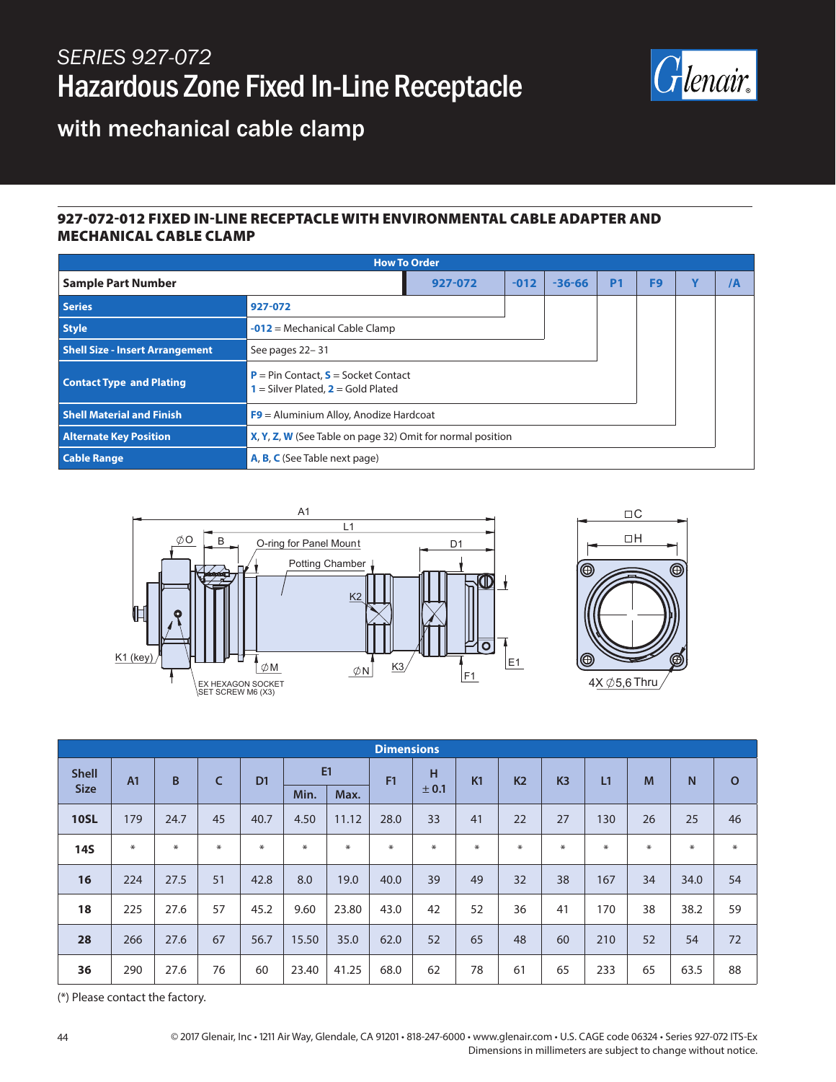## *SERIES 927-072* Hazardous Zone Fixed In-Line Receptacle



 $\Box$ mathbb{C}  $\Box H$ 

◎

with mechanical cable clamp

## 927-072-012 FIXED IN-LINE RECEPTACLE WITH ENVIRONMENTAL CABLE ADAPTER AND MECHANICAL CABLE CLAMP

| <b>How To Order</b>                    |                                                                                             |        |            |           |                |   |    |  |  |
|----------------------------------------|---------------------------------------------------------------------------------------------|--------|------------|-----------|----------------|---|----|--|--|
| <b>Sample Part Number</b>              | 927-072                                                                                     | $-012$ | $-36 - 66$ | <b>P1</b> | F <sub>9</sub> | Y | /A |  |  |
| <b>Series</b>                          | 927-072                                                                                     |        |            |           |                |   |    |  |  |
| <b>Style</b>                           | $-012$ = Mechanical Cable Clamp                                                             |        |            |           |                |   |    |  |  |
| <b>Shell Size - Insert Arrangement</b> | See pages 22-31                                                                             |        |            |           |                |   |    |  |  |
| <b>Contact Type and Plating</b>        | <b>P</b> = Pin Contact, $S$ = Socket Contact<br><b>1</b> = Silver Plated, $2$ = Gold Plated |        |            |           |                |   |    |  |  |
| <b>Shell Material and Finish</b>       | $F9$ = Aluminium Alloy, Anodize Hardcoat                                                    |        |            |           |                |   |    |  |  |
| <b>Alternate Key Position</b>          | X, Y, Z, W (See Table on page 32) Omit for normal position                                  |        |            |           |                |   |    |  |  |
| <b>Cable Range</b>                     | <b>A, B, C</b> (See Table next page)                                                        |        |            |           |                |   |    |  |  |



| <b>Dimensions</b> |                |        |     |                |        |        |        |        |        |                |                |        |    |      |              |
|-------------------|----------------|--------|-----|----------------|--------|--------|--------|--------|--------|----------------|----------------|--------|----|------|--------------|
| <b>Shell</b>      | A <sub>1</sub> | B      | C   | D <sub>1</sub> | E1     |        | F1     | н      | K1     | K <sub>2</sub> | K <sub>3</sub> | L1     | M  | N    | $\mathbf{o}$ |
| <b>Size</b>       |                |        |     |                | Min.   | Max.   |        | ± 0.1  |        |                |                |        |    |      |              |
| <b>10SL</b>       | 179            | 24.7   | 45  | 40.7           | 4.50   | 11.12  | 28.0   | 33     | 41     | 22             | 27             | 130    | 26 | 25   | 46           |
| <b>14S</b>        | $\ast$         | $\ast$ | $*$ | $\ast$         | $\ast$ | $\ast$ | $\ast$ | $\ast$ | $\ast$ | $\ast$         | ⋇              | $\ast$ | ⋇  | $*$  | $\ast$       |
| 16                | 224            | 27.5   | 51  | 42.8           | 8.0    | 19.0   | 40.0   | 39     | 49     | 32             | 38             | 167    | 34 | 34.0 | 54           |
| 18                | 225            | 27.6   | 57  | 45.2           | 9.60   | 23.80  | 43.0   | 42     | 52     | 36             | 41             | 170    | 38 | 38.2 | 59           |
| 28                | 266            | 27.6   | 67  | 56.7           | 15.50  | 35.0   | 62.0   | 52     | 65     | 48             | 60             | 210    | 52 | 54   | 72           |
| 36                | 290            | 27.6   | 76  | 60             | 23.40  | 41.25  | 68.0   | 62     | 78     | 61             | 65             | 233    | 65 | 63.5 | 88           |

(\*) Please contact the factory.